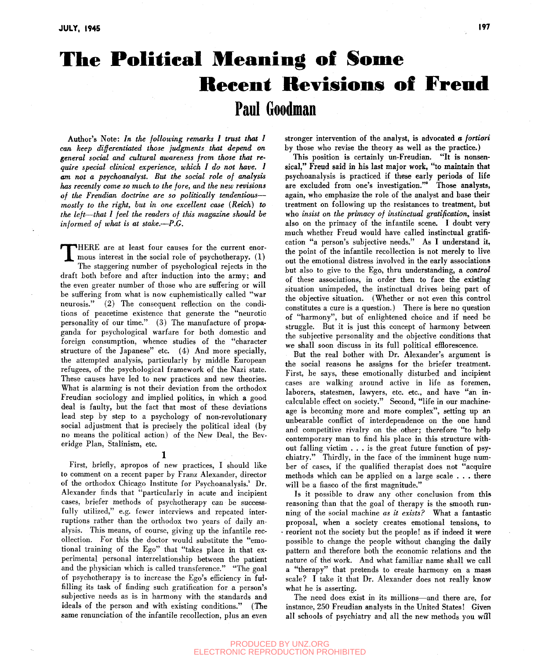# **The Politieal Meaning of Some Recent Revisions of Freud** Paul Goodman

Author's Note: *In the following remarks I trust that I can keep differentiated those judgments that depend on general social and cultural awareness from those that require special clinical experience, which I do not have. 1 am not a psychoanalyst. But the social role of analysis has recently come so much to the fore, and the new revisions of tlve Freudian doctrine are so politically tendentious mostly to the right, but in one excellent case (Reich) to the left—that I feel the readers of this magazine should be informed of what is at stake.—P.G.* 

T HERE are at least four causes for the current enormous interest in the social role of psychotherapy. (1) The staggering number of psychological rejects in the draft both before and after induction into the army; and the even greater number of those who are suffering or **will**  be suffering from what is now euphemistically called "war neurosis." (2) The consequent reflection on the conditions of peacetime existence that generate the "neurotic personality of our time." (3) The manufacture of propaganda for psychological warfare for both domestic and foreign consumption, whence studies of the "character structure of the Japanese" etc. (4) And more specially, the attempted analysis, particularly by middle European refugees, of the psychological framework of the Nazi state. These causes have led to new practices and new theories. What is alarming is not their deviation from the orthodox Freudian sociology and implied politics, in which a good deal is faulty, but the fact that most of these deviations lead step by step to a psychology of non-revolutionary social adjustment that is precisely the political ideal (by no means the political action) of the New Deal, the Beveridge Plan, Stalinism, etc.

#### **1**

First, briefly, apropos of new practices, I should like to comment on a recent paper by Franz Alexander, director of the orthodox Chicago Institute for Psychoanalysis.' Dr. Alexander finds that "particularly in acute and incipient cases, briefer methods of psychotherapy can be successfully utilized," e.g. fewer interviews and repeated interruptions rather than the orthodox two years of daily analysis. This means, of course, giving up the infantile recollection. For this the doctor would substitute the "emotional training of the Ego" that "takes place in that experimental personal interrelationship between the patient and the physician which is called transference." "The goal of psychotherapy is to increase the Ego's efficiency in fulfilling its task of finding such gratification for a person's subjective needs as is in harmony with the standards and ideals of the person and with existing conditions." (The same renunciation of the infantile recollection, plus an even

**stronger intervention** of the **analyst, is advocated** *a fortiori*  by those who revise the theory as well as the practice.)

This position is certainly un-Freudian. **"It** is **nonsensical," Freud said in his last major work, "to maintain that**  psychoanalysis is practiced if these **early periods of life**  are excluded from one's investigation.'" Those analysts, again, who emphasize the role of the analyst and base their treatment on following up the resistances to treatment, **but**  who *insist on the primacy of instinctual gratification,* insist also on the primacy of the infantile scene. I doubt very much whether Freud would have called instinctual gratification "a person's subjective needs." As I understand it, the point of the infantile recollection is not merely to live out the emotional distress involved in the early associations but also to give to the Ego, thru understanding, **a** *control*  of these associations, in order then to face the existing situation unimpeded, the instinctual drives being part of the objective situation. (Whether or not even this control constitutes a cure is a question.) There is here no question of "harmony", but of enlightened choice and if need be struggle. But it is just this concept of harmony between the subjective personality and the objective conditions that we shall soon discuss in its full political efflorescence.

But the real bother with Dr. Alexander's argument is the social reasons he assigns for the briefer treatment. First, he says, these emotionally disturbed and incipient cases are walking around active in life as foremen, laborers, statesmen, lawyers, etc. etc., and have "an incalculable effect on society." Second, "life in our machineage is becoming more and more complex", setting up an unbearable conflict of interdependence on the one hand and competitive rivalry on the other; therefore "to help contemporary man to find his place in this structure without falling victim .. . is the great future function of psychiatry." Thirdly, in the face of the imminent huge number of cases, if the qualified therapist does not "acquire methods which can be applied on a large scale . . . there will be a fiasco of the first magnitude."

Is it possible to draw any other conclusion from this reasoning than that the goal of therapy is the smooth running of the social machine *as it exists?* What a fantastic proposal, when a society creates emotional tensions, to reorient not the society but the people! as if indeed it were possible to change the people without changing the daily pattern and therefore both the economic relations and the nature of thel work. And what familiar name shall we call a "therapy" that pretends to create harmony on a mass scale? I take it that Dr. Alexander does not really know what he is asserting.

The need does exist in its millions—and there are, for instance, 250 Freudian analysts in the United States! Given all schools of psychiatry and all the new methods you **will**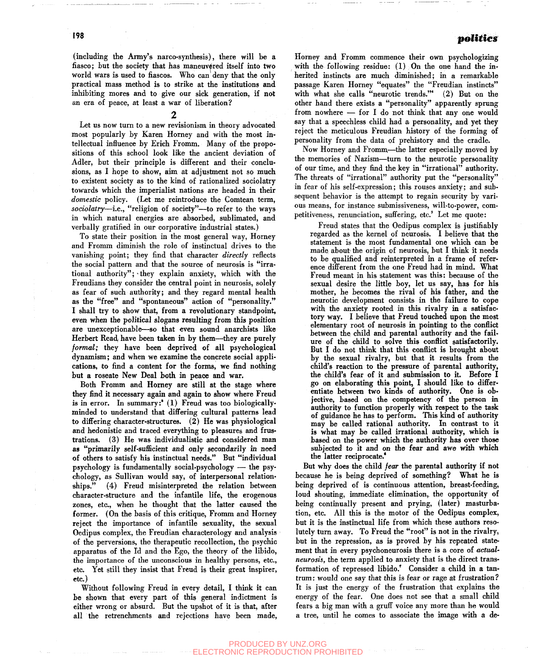(including the Army's narco-synthesis), there will be a fiasco; but the society that has maneuvered itself into two world wars is used to fiascos. Who can deny that the only practical mass method is to strike at the institutions and inhibiting mores and to give our sick generation, if not an era of peace, at least a war of liberation?

Let us now turn to a new revisionism in theory advocated most popularly by Karen Horney and with the most intellectual influence by Erich Fromm. Many of the propositions of this school look like the ancient deviation of Adler, but their principle is different and their conclusions, as I hope to show, aim at adjustment not so much to existent society as to the kind of rationalized sociolatry towards which the imperialist nations are headed in their *domestic* policy. (Let me reintroduce the Comtean term, *sociolatry*—i.e., "religion of society"—to refer to the ways in which natural energies are absorbed, sublimated, and verbally gratified in our corporative industrial states.)

To state their position in the most general way, Horney and Fromm diminish the role of instinctual drives to the vanishing point; they find that character *directly* reflects the social pattern and that the source of neurosis is "irrational authority"; they explain anxiety, which with the Freudians they consider the central point in neurosis, solely as fear of such authority; and they regard mental health as the "free" and "spontaneous" action of "personality." I shall try to show that, from a revolutionary standpoint, even when the political slogans resulting from this position are unexceptionable—so that even sound anarchists like Herbert Read have been taken in by them—^they are purely *formal;* they have been deprived of all psychological dynamism; and when we examine the concrete social applications, to find a content for the forms, we find nothing but a roseate New Deal both in peace and war.

Both Fromm and Horney are still at the stage where they find it necessary again and again to show where Freud is in error. In summary:<sup>8</sup> (1) Freud was too biologicallyminded to understand that differing cultural patterns lead to differing character-structures. (2) He was physiological and hedonistic and traced everything to pleasures and frustrations. (3) He was individualistic and considered man as "primarily self-sufficient and only secondarily in need of others to satisfy his instinctual needs." But "individual psychology is fundamentally social-psychology — the psychology, as Sullivan would say, of interpersonal relationships." (4) Freud misinterpreted the relation between character-structure and the infantile life, the erogenous zones, etc., when he thought that the latter caused the former. (On the basis of this critique, Fromm and Horney reject the importance of infantile sexuality, the sexual Oedipus complex, the Freudian characterology and analysis of the perversions, the therapeutic recollection, the psychic apparatus of the Id and the Ego, the theory of the libido, the importance of the unconscious in healthy persons, etc., etc. Yet still they insist that Freud is their great inspirer, etc.)

Without following Freud in every detail, I think it can be shown that every part of this general indictment is either wrong or absurd. But the upshot of it is that, after all the retrenchments and rejections have been made,

### **<sup>198</sup>***politics*

Horney and Fromm commence their own psychologizing with the following residue: (1) On the one hand the inherited instincts are much diminished; in a remarkable passage Karen Horney "equates" the "Freudian instincts" with what she calls "neurotic trends."\* (2) But on the other hand there exists a "personality" apparently sprung from nowhere — for I do not think that any one would say that a speechless child had a personality, and yet they reject the meticulous Freudian history of the forming of personality from the data of prehistory and the cradle.

Now Horney and Fromm—the latter especially moved by the memories of Nazism—turn to the neurotic personality of our time, and they find the key in "irrational" authority. The threats of "irrational" authority put the "personality" in fear of his self-expression; this rouses anxiety; and subsequent behavior is the attempt to regain security by various means, for instance submissiveness, will-to-power, competitiveness, renunciation, suffering, etc' Let me quote:

Freud states that the Oedipus complex is justifiably regarded as the kernel of neurosis. I believe that the statement is the most fundamental one which can be made about the origin of neurosis, but I think it needs to be qualified and reinterpreted in a frame of reference different from the one Freud had in mind. What Freud meant in his statement was this: because of the sexual desire the little boy, let us say, has for his mother, he becomes the rival of his father, and the neurotic development consists in the failure to cope with the anxiety rooted in this rivalry in a satisfactory way. I believe that Freud touched upon the most elementary root of neurosis in pointing to the conflict between the child and parental authority and the failure of the child to solve this conflict satisfactorily. But I do not think that this conflict is brought about by the sexual rivalry, but that it results from the child's reaction to the pressure of parental authority, the child's fear of it and submission to it. Before I go on elaborating this point, I should like to differjective, based on the competency of the person in authority to function properly with respect to the task of guidance he has to perform. This kind of authority may be called rational authority. In contrast to it is what may be called irrational authority, which is based on the power which the authority has over those subjected to it and on the fear and awe with which the latter reciprocate.

But why does the child *fear* the parental authority if not because he is being deprived of something? What he is because he is being deprived of something? What he is being deprived of is continuous attention, breast-feeding, loud shouting, immediate elimination, the opportunity of being continually present and prying, (later) masturbation, etc. All this is the motor of the Oedipus complex, but it is the instinctual life from which these authors resolutely turn away. To Freud the "root" is not in the rivalry, but in the repression, as is proved by his repeated statement that in every psychoneurosis there is a core of *actualneurosis,* the term applied to anxiety that is the direct transformation of repressed libido.' Consider a child in a tanturmanum ut represseu monus. Consider a china in a can-It tunit would one say that this is jear of tage at frustration. It is just the energy of the frustration that explains the energy of the fear. One does not see that a small child fears a big man with a gruff voice any more than he would a tree, until he comes to associate the image with a de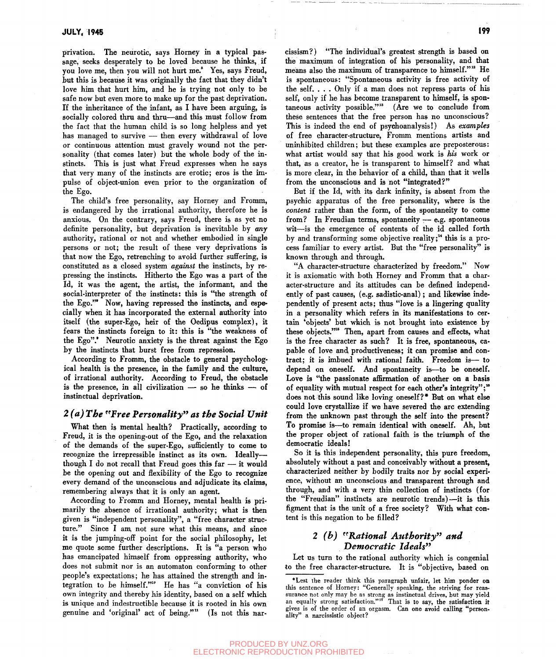privation. The neurotic, says Horney in a typical passage, seeks desperately to be loved because he thinks, if you love me, then you will not hurt me.' Yes, says Freud, but this is because it was originally the fact that they didn't love him that hurt him, and he is trying not only to be safe now but even more to make up for the past deprivation. If the inheritance of the infant, as I have been arguing, is socially colored thru and thru—and this must follow from the fact that the human child is so long helpless and yet has managed to survive — then every withdrawal of love or continuous attention must gravely wound not the personality (that comes later) but the whole body of the instincts. This is just what Freud expresses when he says that very many of the instincts are erotic; eros is the impulse of object-union even prior to the organization of the Ego.

The child's free personality, say Horney and Fromm, is endangered by the irrational authority, therefore he is anxious. On the contrary, says Freud, there is as yet no definite personality, but deprivation is inevitable by *any*  authority, rational or not and whether embodied in single persons or not; the result of these very deprivations is that now the Ego, retrenching to avoid further suffering, is constituted as a closed system *against* the instincts, by repressing the instincts. Hitherto the Ego was a part of the Id, it was the agent, the artist, the informant, and the social-interpreter of the instincts: this is "the strength of the Ego.'" Now, having repressed the instincts, and especially when it has incorporated the external authority into itself (the super-Ego, heir of the Oedipus complex), it fears the instincts foreign to it: this is "the weakness of the Ego".\* Neurotic anxiety is the threat against the Ego by the instincts that burst free from repression.

According to Fromm, the obstacle to general psychological health is the presence, in the family and the culture, of irrational authority. According to Freud, the obstacle is the presence, in all civilization — so he thinks — of instinctual deprivation.

#### **2** *(a) The "Free Personality" as the Social Unit*

What then is mental health? Practically, according to Freud, it is the opening-out of the Ego, and the relaxation of the demands of the super-Ego, sufficiently to come to recognize the irrepressible instinct as its own. Ideally though I do not recall that Freud goes this far  $-$  it would be the opening out and flexibility of the Ego to recognize every demand of the unconscious and adjudicate its claims, remembering always that it is only an agent.

According to Fromm and Horney, mental health is primarily the absence of irrational authority; what is then given is "independent personality", a "free character structure." Since I am, not sure what this means, and since it is the jumping-off point for the social philosophy, let me quote some further descriptions. It is "a person who has emancipated himself from oppressing authority, who does not submit nor is an automaton conforming to other people's expectations; he has attained the strength and integration to be himself.'"" He has "a conviction of his own integrity and thereby his identity, based on a self which is unique and indestructible because it is rooted in his own genuine and 'original' act of being."" (Is not this narcissism?) "The individual's greatest strength is based on the maximum of integration of his personality, and that means also the maximum of transparence to himself."" He is spontaneous: "Spontaneous activity is free activity of the self. . . . Only if a man does not repress parts of his self, only if he has become transparent to himself, is spontaneous activity possible."" (Are we to conclude from these sentences that the free person has no unconscious? This is indeed the end of psychoanalysis!) As *examples*  of free character-structure, Fromm mentions artists and uninhibited children; but these examples are preposterous: what artist would say that his good work is his work or that, as a creator, he is transparent to himself? and what is more clear, in the behavior of a child, than that it wells from the unconscious and is not "integrated?"

But if the Id, with its dark infinity, is absent from the psychic apparatus of the free personality, where is the *content* rather than the form, of the spontaneity to come from? In Freudian terms, spontaneity - e.g. spontaneous wit—is the emergence of contents of the id called forth by and transforming some objective reality;" this is a process familiar to every artist. But the "free personality" is known through and through.

"A character-structure characterized by freedom." Now it is axiomatic with both Horney and Fromm that a character-structure and its attitudes can be defined independently of past causes, (e.g. sadistic-anal); and likewise independently of present acts; thus "love is a lingering quality in a personality which refers in its manifestations to certain 'objects' but which is not brought into existence by these objects."" Then, apart from causes and effects, what is the free character as such? It is free, spontaneous, capable of love and productiveness; it can promise and contract; it is imbued with rational faith. Freedom is— to depend on oneself. And spontaneity is—to be oneself. Love is "the passionate affirmation of another on a basis of equality with mutual respect for each other's integrity";" does not this sound like loving oneself?\* But on what else could love crystallize if we have severed the arc extending from the unknown past through the self into the present? To promise is—^to remain identical with oneself. Ah, but the proper object of rational faith is the triumph of the democratic ideals!

So it is this independent personality, this pure freedom, absolutely without a past and conceivably without a present, characterized neither by bodily traits nor by social experience, without an unconscious and transparent through and through, and with a very thin collection of instincts (for the "Freudian" instincts are neurotic trends)—it is this figment that is the unit of a free society? With what content is this negation to be filled?

#### **2** *(b) "Rational Authority" and Democratic Ideals"*

Let us turn to the rational authority which is congenial to the free character-structure. It is "objective, based on

<sup>\*</sup>Lest the reader think this paragraph unfair, let him ponder on this sentence of Horney: "Generally speaking, the striving for reassurance not only may be as strong as instinctual drives, but may yield an equally strong satisfaction."" That is to say, the satisfaction it gives is of the order of an orgasm. Can one avoid calling "personality" a narcissistic object?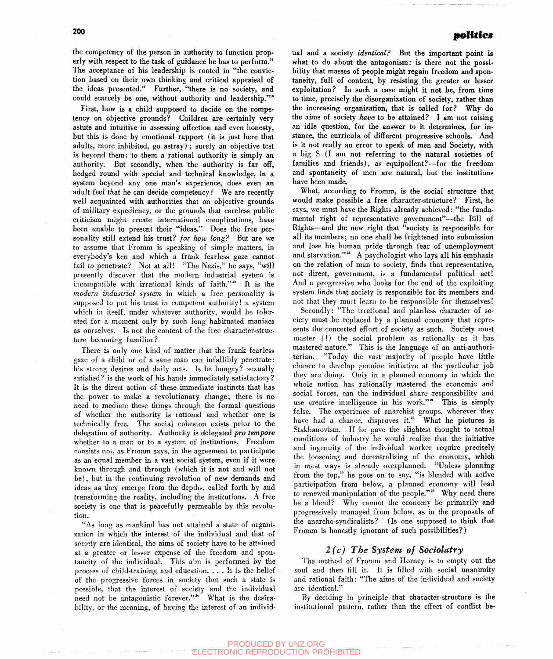the competency of the person in authority to function properly with respect to the task of guidance he has to perform.' The acceptance of his leadership is rooted in "the conviction based on their own thinking and critical appraisal of the ideas presented." Further, "there is no society, and could scarcely be one, without authority and leadership.""

First, how is a child supposed to decide on the competency on objective grounds? Children are certainly very astute and intuitive in assessing affection and even honesty, but this is done by emotional rapport (it is just here that adults, more inhibited, go astray); surely an objective test is beyond them: to them a rational authority is simply an authority. But secondly, when the authority is far off, hedged round with special and technical knowledge, in a system beyond any one man's experience, does even an adult feel that he can decide competency? We are recently well acquainted with authorities that on objective grounds of military expediency, or the grounds that careless public criticism might create international complications, have been unable to present their "ideas." Does the free personality still extend his trust? *for how long?* But are we to assume that Fromm is speaking of simple matters, in everybody's ken and which a frank fearless gaze cannot fail to penetrate? Not at all! "The Nazis," he says, "will presently discover that the modern industrial system is incompatible with irrational kinds of faith.'"" It is the *modern industrial system* in which a free personality is supposed to put his trust in competent authority! a system which in itself, under whatever authority, would be tolerated for a moment only by such long habituated maniacs as ourselves. Is not the content of the free character-structure becoming familiar?

There is only one kind of matter that the frank fearless gaze of a child or of a sane man can infallibly penetrate: his strong desires and daily acts. Is he hungry? sexually satisfied? is the work of his hands immediately satisfactory? It is the direct action of these immediate instincts that has the power to make a revolutionary change; there is no need to mediate these things through the formal questions of whether the authority is rational and whether one is technically free. The social cohesion exists prior to the delegation of authority. Authority is delegated *pro tempore*  whether to a man or to a system of institutions. Freedom consists not, as Fromm says, in the agreement to participate as an equal member in a vast social system, even if it were known through and through (which it is not and will not be), but in the continuing revolution of new demands and ideas as they emerge from the depths, called forth by and transforming the reality, including the institutions. A free society is one that is peacefully permeable by this revolution.

"As long as mankind has not attained a state of organization in which the interest of the individual and that of society are identical, the aims of society have to be attained at a greater or lesser expense of the freedom and spontaneity of the individual. This aim is performed by the process of child-training and education. .. . It is the belief of the progressive forces in society that such a state is possible, that the interest of society and the individual need not be antagonistic forever."<sup>20</sup> What is the desirability, or the meaning, of having the interest of an individual and a society *identical?* But the important point is what to do about the antagonism: is there not the possibility that masses of people might regain freedom and spontaneity, full of content, by resisting the greater or lesser exploitation? In such a case might it not be, from time to time, precisely the disorganization of society, rather than the increasing organization, that is called for? Why do the aims of society *have* to be attained? I am not raising an idle question, for the answer to it determines, for instance, the curricula of different progressive schools. And is it not really an error to speak of men and Society, with a big S (I am not referring to the natural societies of families and friends), as equipollent?—for the freedom and spontaneity of men are natural, but the institutions have been made.

What, according to Fromm, is the social structure that would make possible a free character-structure? First, he says, we must have the Rights already achieved: "the fundamental right of representative government"—the Bill of Rights—and the new right that "society is responsible for all its members; no one shall be frightened into submission and lose his human pride through fear of unemployment and starvation."<sup>21</sup> A psychologist who lays all his emphasis on the relation of man to society, finds that representative, not direct, government, is a fundamental political act! And a progressive who looks for the end of the exploiting system finds that society is responsible for its members and not that they must learn to be responsible for themselves!

Secondly: "The irrational and planless character of society must be replaced by a planned economy that represents the concerted effort of society as such. Society must master (!) the social problem as rationally as it has mastered nature." This is the language of an anti-authoritarian. "Today the vast majority of people have little chance to develop genuine initiative at the particular job they are doing. Only in a planned economy in which the whole nation has rationally mastered the economic and social forces, can the individual share responsibility and use creative intelligence in his work."<sup>"</sup> This is simply false. The experience of anarchist groups, wherever they have had a chance, disproves it." What he pictures is Stakhanovism. If he gave the slightest thought to actual conditions of industry he would realize that the initiative and ingenuity of the individual worker require precisely the loosening and decentralizing of the economy, which in most ways is already overplanned. "Unless planning from the top," he goes on to say, "is blended with active participation from below, a planned economy will lead to renewed manipulation of the people."<sup>23</sup> Why need there be a blend? Why cannot the economy be primarily and progressively managed from below, as in the proposals of the anarcho-syndicalists? (Is one supposed to think that Fromm is honestly ignorant of such possibilities?)

#### 2 *(c) The System of Sociolatry*

The method of Fromm and Horney is to empty out the soul and then fill it. It is filled with social unanimity and rational faith: "The aims of the individual and society are identical."

By deciding in principle that character-structure is the institutional pattern, rather than the effect of conflict be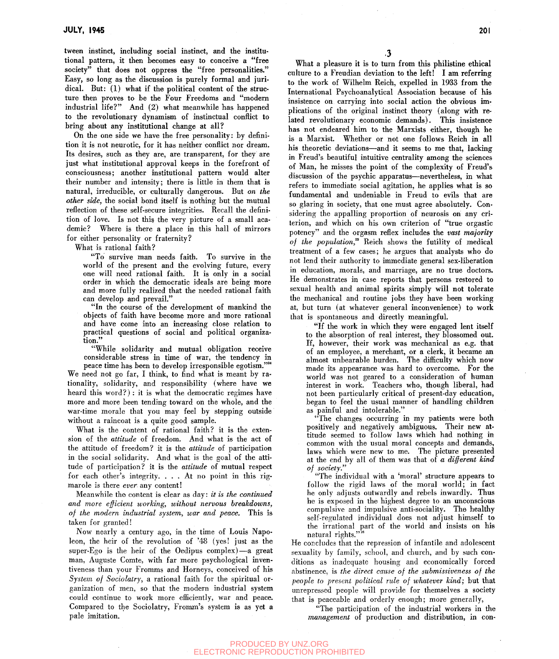tween instinct, including social instinct, and the institutional pattern, it then becomes easy to conceive a "free society" that does not oppress the "free personalities." Easy, so long as the discussion is purely formal and juridical. But: (1) what if the political content of the structure then proves to be the Four Freedoms and "modern industrial life?" And (2) what meanwhile has happened to the revolutionary dynamism of instinctual conflict to bring about any institutional change at all?

On the one side we have the free personality: by definition it is not neurotic, for it has neither conflict nor dream. Its desires, such as they are, are transparent, for they are just what institutional approval keeps in the forefront of consciousness; another institutional pattern would alter their number and intensity; there is little in them that is natural, irreducible, or culturally dangerous. But *on the other side,* the social bond itself is nothing but the mutual reflection of these self-secure integrities. Recall the definition of love. Is not this the very picture of a small academic? Where is there a place in this hall of mirrors for either personality or fraternity?

What is rational faith?

"To survive man needs faith. To survive in the world of the present and the evolving future, every one will need rational faith. It is only in a social order in which the democratic ideals are being more and more fully realized that the needed rational faith

"In the course of the development of mankind the objects of faith have become more and more rational and have come into an increasing close relation to practical questions of social and political organiza- $\lim_{n \to \infty} \frac{1}{n}$ 

"While solidarity and mutual obligation receive considerable stress in time of war, the tendency in peace time has been to develop irresponsible egotism.'

We need not go far, I think, to find what is meant by rationality, solidarity, and responsibility (where have we heard this word?): it is what the democratic regimes have more and more been tending toward on the whole, and the war-time morale that you may feel by stepping outside without a raincoat is a quite good sample.

What is the content of rational faith? it is the extension of the *attitude* of freedom. And what is the act of the attitude of freedom? it is the *attitude* of participation in the social solidarity. And what is the goal of the attitude of participation? it is the attitude of mutual respect for each other's integrity. . . . At no point in this rigmarole is there *ever* any content!

Meanwhile the content is clear as day: it is the continued and more efficient working, without nervous breakdowns, *and more efficient working, without nervous breakdowns, of the modern industrial system, war and peace.* This is taken for granted!

Now nearly a century ago, in the time of Louis Napoleon, the heir of the revolution of '48 (yes! just as the super-Ego is the heir of the Oedipus complex)—a great man, Auguste Comte, with far more psychological inventiveness than your Fromms and Horneys, conceived of his *System of Sociolatry,* a rational faith for the spiritual organization of men, so that the modern industrial system could continue to work more efficiently, war and peace. Compared to the Sociolatry, Fromm's system is as yet a pale imitation.

**3** 

What a pleasure it is to turn from this philistine ethical culture to a Freudian deviation to the left! I am referring to the work of Wilhelm Reich, expelled in 1933 from the International Psychoanalytical Association because of his insistence on carrying into social action the obvious implications of the original instinct theory (along with related revolutionary economic demands). This insistence has not endeared him to the Marxists either, though he is a Marxist. Whether or not one follows Reich in all his theoretic deviations—and it seems to me that, lacking in Freud's beautiful intuitive centrality among the sciences of Man, he misses the point of the complexity of Freud's discussion of the psychic apparatus—nevertheless, in what refers to immediate social agitation, he applies what is so fundamental and undeniable in Freud to evils that are so glaring in society, that one must agree absolutely. Considering the appalling proportion of neurosis on any criterion, and which on his own criterion of "true orgastic potency" and the orgasm reflex includes the *vast majority of the population,'^* Reich shows the futility of medical treatment of a few cases; he argues that analysts who do not lend their authority to immediate general sex-liberation in education, morals, and marriage, are no true doctors. He demonstrates in case reports that persons restored to sexual health and animal spirits simply will not tolerate the mechanical and routine jobs they have been working at, but turn (at whatever general inconvenience) to work that is spontaneous and directly meaningful.

"If the work in which they were engaged lent itself to the absorption of real interest, they blossomed out. If, however, their work was mechanical as e.g. that of an employee, a merchant, or a clerk, it became an almost unbearable burden. The difficulty which now made its appearance was hard to overcome. For the world was not geared to a consideration of human interest in work. Teachers who, though liberal, had not been particularly critical of present-day education, began to feel the usual manner of handling children as painful and intolerable."

"The changes occurring in my patients were both positively and negatively ambiguous. Their new attitude seemed to follow laws which had nothing in common with the usual moral concepts and demands, laws which were new to me. The picture presented at the end by all of them was that of *a different kind of society."* 

"The individual with a 'moral' structure appears to follow the rigid laws of the moral world; in fact he only adjusts outwardly and rebels inwardly. Thus he is exposed in the highest degree to an unconscious compulsive and impulsive anti-sociality. The healthy self-regulated individual does not adjust himself to the irrational part of the world and insists on his natural rights."

He concludes that the repression of infantile and adolescent sexuality by family, school, and church, and by such conditions as inadequate housing and economically forced abstinence, is *the direct cause of the submissiveness of the people to present political rule of whatever kind;* but that propressed persons permeated provide for themselves a society difference beddie and order and orderly enough  $\frac{1}{1}$ 

"The participation of the industrial workers in the *management* of production and distribution, in con-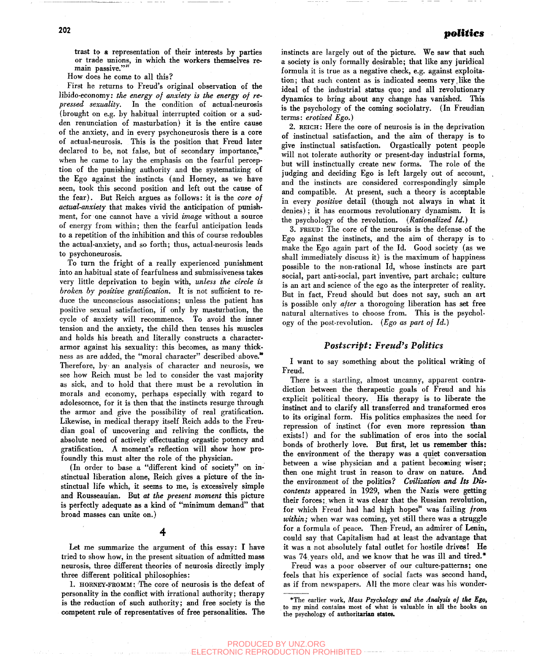trast to a representation of their interests by parties or trade unions, in which the workers themselves remain passive."

How does he come to all this?

First he returns to Freud's original observation of the libido-economy: *the energy of anxiety is the energy of repressed sexuality.* In the condition of actual-neurosis (brought on e.g. by habitual interrupted coition or a sudden renunciation of masturbation) it is the entire cause of the anxiety, and in every psychoneurosis there is a core of actual-neurosis. This is the position that Freud later declared to be, not false, but of secondary importance," when he came to lay the emphasis on the fearful perception of the punishing authority and the systematizing of the Ego against the instincts (and Horney, as we have seen, took this second position and left out the cause of the fear). But Reich argues as follows: it is the *core of actual-anxiety* that makes vivid the anticipation of punishment, for one cannot have a vivid *image* without a source of energy from within; then the fearful anticipation leads to a repetition of the inhibition and this of course redoubles the actual-anxiety, and so forth; thus, actual-neurosis leads to psychoneurosis.

To turn the fright of a really experienced punishment into an habitual state of fearfulness and submissiveness takes very little deprivation to begin with, *unless the circle is broken by positive gratification*. It is not sufficient to reduce the unconscious associations; unless the patient has positive sexual satisfaction, if only by masturbation, the cycle of anxiety will recommence. To avoid the inner tension and the anxiety, the child then tenses his muscles and holds his breath and literally constructs a characterarmor against his sexuality: this becomes, as many thickness as are added, the "moral character" described above." Therefore, by- an analysis of character and neurosis, we see how Reich must be led to consider the vast majority as sick, and to hold that there must be a revolution in morals and economy, perhaps especially with regard to adolescence, for it is then that the instincts resurge through the armor and give the possibility of real gratification. Likewise, in medical therapy itself Reich adds to the Freudian goal of uncovering and reliving the conflicts, the absolute need of actively effectuating orgastic potency and gratification. A moment's reflection will show how profoundly this must alter the role of the physician.

(In order to base a "different kind of society" on instinctual liberation alone, Reich gives a picture of the instinctual life which, it seems to me, is excessively simple and Rousseauian. But *at the present moment* this picture is perfectly adequate as a kind of "minimum demand" that broad masses can unite on.)

#### 4

Let me summarize the argument of this essay: I have tried to show how, in the present situation of admitted mass neurosis, three different theories of neurosis directly imply three different political philosophies:

1. HORNEY-FROMM: The Core of neurosis is the defeat of personality in the conflict with irrational authority; therapy is the reduction of such authority; and free society is the competent rule of representatives of free personalities. The

instincts are largely out of the picture. We saw that such a society is only formally desirable; that like any juridical formula it is true as a negative check, e.g. against exploitation; that such content as is indicated seems very,like the ideal of the industrial status quo; and all revolutionary dynamics to bring about any change has vanished. This is the psychology of the coming sociolatry. (In Freudian terms: *erotized Ego.)* 

2. REICH: Here the core of neurosis is in the deprivation of instinctual satisfaction, and the aim of therapy is to give instinctual satisfaction. Orgastically potent people will not tolerate authority or present-day industrial forms, but will instinctually create new forms. The role of the judging and deciding Ego is left largely out of account, and the instincts are considered correspondingly simple and compatible. At present, such a theory is acceptable in every *positive* detail (though not always in what it denies); it has enormous revolutionary dynamism. It is the psychology of the revolution. *{Rationalized Id.)* 

3. FREUD: The core of the neurosis is the defense of the Ego against the instincts, and the aim of therapy is to make the Ego again part of the Id. Good society (as we shall immediately discuss it) is the maximum of happiness possible to the non-rational Id, whose instincts are part social, part anti-social, part inventive, part archaic; culture is an art and science of the ego as the interpreter of reality. But in fact, Freud should but does not say, such an art is possible only *ajter* a thorogoing liberation has set free natural alternatives to choose from. This is the psychology of the post-revolution. *(Ego as part of Id.)* 

#### *Postscript: Freud's Politics*

*I* want to say something about the political writing of Freud.

There is a startling, almost uncanny, apparent contradiction between the therapeutic goals of Freud and his explicit political theory. His therapy is to liberate the instinct and to clarify all transferred and transformed eros to its original form. His politics emphasizes the need for repression of instinct (for even more repression than exists!) and for the sublimation of eros into the social bonds of brotherly love. But first, let us remember this: the environment of the therapy was a qujet conversation between a wise physician and a patient becoming wiser; then one might trust in reason to draw on nature. And the environment of the politics? *Cvilization and Its Discontents* appeared in 1929, when the Nazis were getting their forces;, when it was clear that the Russian revolution, for which Freud had had high hopes" was failing *from within;* when war was coming, yet still there was a struggle for a formula of peace. Then' Freud, an admirer of Lenin, could say that Capitalism had at least the advantage that it was a not absolutely fatal outlet for hostile drives! He was 74 years old, and we know that he was ill and tired.\*

Freud was a poor observer of our culture-patterns; one feels that his experience of social facts was second hand, as if from newspapers. All the more clear was his wonder-

<sup>\*</sup>The earlier work, *Mass Psychology and the Analysis of the Ego,*  to my mind contains most of what is valuable in all the books on the psychology of authoritarian states.